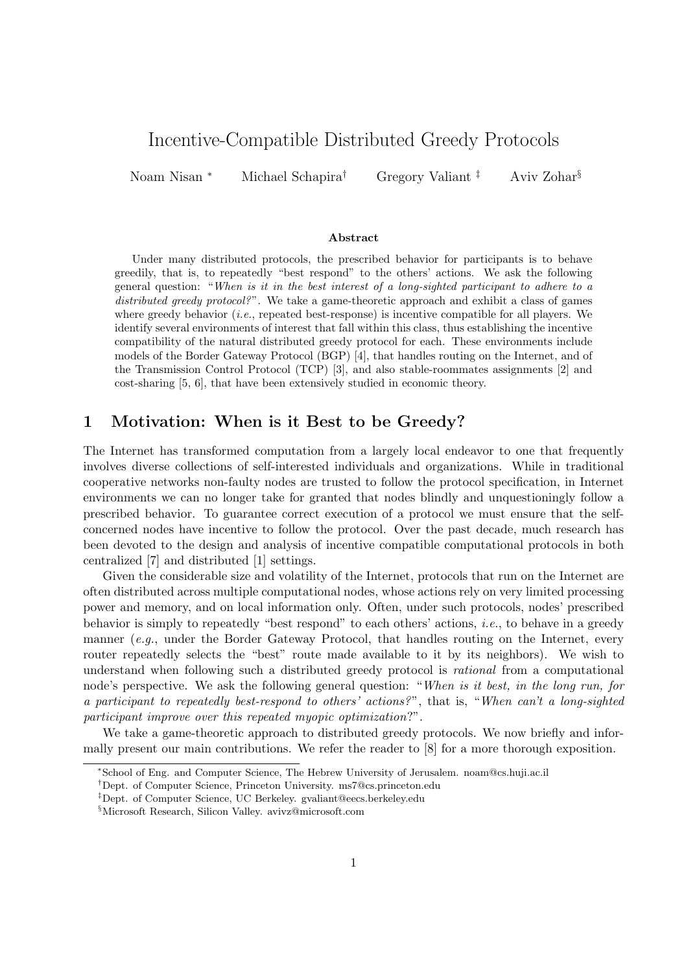# Incentive-Compatible Distributed Greedy Protocols

Noam Nisan <sup>∗</sup> Michael Schapira<sup>†</sup> Gregory Valiant<sup>‡</sup> Aviv Zohar<sup>§</sup>

#### Abstract

Under many distributed protocols, the prescribed behavior for participants is to behave greedily, that is, to repeatedly "best respond" to the others' actions. We ask the following general question: "When is it in the best interest of a long-sighted participant to adhere to a distributed greedy protocol?". We take a game-theoretic approach and exhibit a class of games where greedy behavior  $(i.e.,$  repeated best-response) is incentive compatible for all players. We identify several environments of interest that fall within this class, thus establishing the incentive compatibility of the natural distributed greedy protocol for each. These environments include models of the Border Gateway Protocol (BGP) [4], that handles routing on the Internet, and of the Transmission Control Protocol (TCP) [3], and also stable-roommates assignments [2] and cost-sharing [5, 6], that have been extensively studied in economic theory.

### 1 Motivation: When is it Best to be Greedy?

The Internet has transformed computation from a largely local endeavor to one that frequently involves diverse collections of self-interested individuals and organizations. While in traditional cooperative networks non-faulty nodes are trusted to follow the protocol specification, in Internet environments we can no longer take for granted that nodes blindly and unquestioningly follow a prescribed behavior. To guarantee correct execution of a protocol we must ensure that the selfconcerned nodes have incentive to follow the protocol. Over the past decade, much research has been devoted to the design and analysis of incentive compatible computational protocols in both centralized [7] and distributed [1] settings.

Given the considerable size and volatility of the Internet, protocols that run on the Internet are often distributed across multiple computational nodes, whose actions rely on very limited processing power and memory, and on local information only. Often, under such protocols, nodes' prescribed behavior is simply to repeatedly "best respond" to each others' actions, i.e., to behave in a greedy manner (e.g., under the Border Gateway Protocol, that handles routing on the Internet, every router repeatedly selects the "best" route made available to it by its neighbors). We wish to understand when following such a distributed greedy protocol is rational from a computational node's perspective. We ask the following general question: "When is it best, in the long run, for a participant to repeatedly best-respond to others' actions?", that is, "When can't a long-sighted participant improve over this repeated myopic optimization?".

We take a game-theoretic approach to distributed greedy protocols. We now briefly and informally present our main contributions. We refer the reader to [8] for a more thorough exposition.

<sup>∗</sup>School of Eng. and Computer Science, The Hebrew University of Jerusalem. noam@cs.huji.ac.il

<sup>†</sup>Dept. of Computer Science, Princeton University. ms7@cs.princeton.edu

<sup>‡</sup>Dept. of Computer Science, UC Berkeley. gvaliant@eecs.berkeley.edu

<sup>§</sup>Microsoft Research, Silicon Valley. avivz@microsoft.com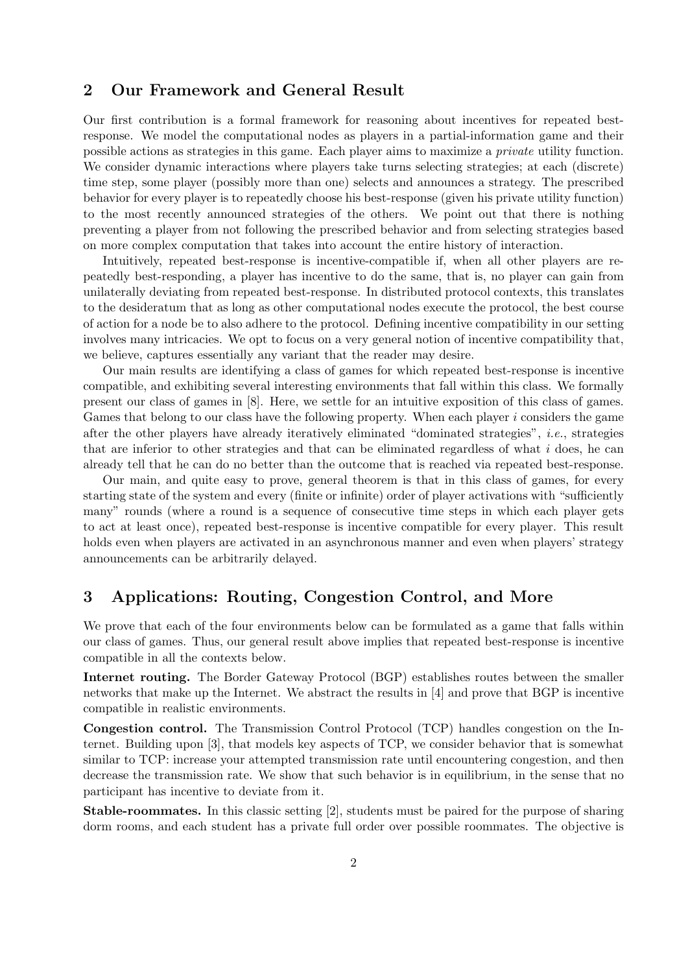#### 2 Our Framework and General Result

Our first contribution is a formal framework for reasoning about incentives for repeated bestresponse. We model the computational nodes as players in a partial-information game and their possible actions as strategies in this game. Each player aims to maximize a private utility function. We consider dynamic interactions where players take turns selecting strategies; at each (discrete) time step, some player (possibly more than one) selects and announces a strategy. The prescribed behavior for every player is to repeatedly choose his best-response (given his private utility function) to the most recently announced strategies of the others. We point out that there is nothing preventing a player from not following the prescribed behavior and from selecting strategies based on more complex computation that takes into account the entire history of interaction.

Intuitively, repeated best-response is incentive-compatible if, when all other players are repeatedly best-responding, a player has incentive to do the same, that is, no player can gain from unilaterally deviating from repeated best-response. In distributed protocol contexts, this translates to the desideratum that as long as other computational nodes execute the protocol, the best course of action for a node be to also adhere to the protocol. Defining incentive compatibility in our setting involves many intricacies. We opt to focus on a very general notion of incentive compatibility that, we believe, captures essentially any variant that the reader may desire.

Our main results are identifying a class of games for which repeated best-response is incentive compatible, and exhibiting several interesting environments that fall within this class. We formally present our class of games in [8]. Here, we settle for an intuitive exposition of this class of games. Games that belong to our class have the following property. When each player  $i$  considers the game after the other players have already iteratively eliminated "dominated strategies", i.e., strategies that are inferior to other strategies and that can be eliminated regardless of what  $i$  does, he can already tell that he can do no better than the outcome that is reached via repeated best-response.

Our main, and quite easy to prove, general theorem is that in this class of games, for every starting state of the system and every (finite or infinite) order of player activations with "sufficiently many" rounds (where a round is a sequence of consecutive time steps in which each player gets to act at least once), repeated best-response is incentive compatible for every player. This result holds even when players are activated in an asynchronous manner and even when players' strategy announcements can be arbitrarily delayed.

## 3 Applications: Routing, Congestion Control, and More

We prove that each of the four environments below can be formulated as a game that falls within our class of games. Thus, our general result above implies that repeated best-response is incentive compatible in all the contexts below.

Internet routing. The Border Gateway Protocol (BGP) establishes routes between the smaller networks that make up the Internet. We abstract the results in [4] and prove that BGP is incentive compatible in realistic environments.

Congestion control. The Transmission Control Protocol (TCP) handles congestion on the Internet. Building upon [3], that models key aspects of TCP, we consider behavior that is somewhat similar to TCP: increase your attempted transmission rate until encountering congestion, and then decrease the transmission rate. We show that such behavior is in equilibrium, in the sense that no participant has incentive to deviate from it.

Stable-roommates. In this classic setting [2], students must be paired for the purpose of sharing dorm rooms, and each student has a private full order over possible roommates. The objective is